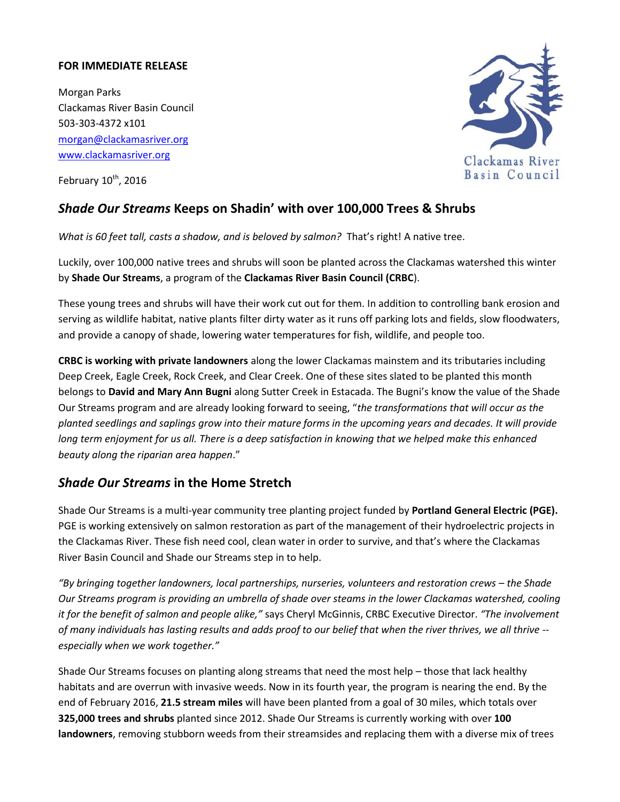## **FOR IMMEDIATE RELEASE**

Morgan Parks Clackamas River Basin Council 503-303-4372 x101 [morgan@clackamasriver.org](mailto:morgan@clackamasriver.org) [www.clackamasriver.org](http://www.clackamasriver.org/)

February 10<sup>th</sup>, 2016



## *Shade Our Streams* **Keeps on Shadin' with over 100,000 Trees & Shrubs**

*What is 60 feet tall, casts a shadow, and is beloved by salmon?* That's right! A native tree.

Luckily, over 100,000 native trees and shrubs will soon be planted across the Clackamas watershed this winter by **Shade Our Streams**, a program of the **Clackamas River Basin Council (CRBC**).

These young trees and shrubs will have their work cut out for them. In addition to controlling bank erosion and serving as wildlife habitat, native plants filter dirty water as it runs off parking lots and fields, slow floodwaters, and provide a canopy of shade, lowering water temperatures for fish, wildlife, and people too.

**CRBC is working with private landowners** along the lower Clackamas mainstem and its tributaries including Deep Creek, Eagle Creek, Rock Creek, and Clear Creek. One of these sites slated to be planted this month belongs to **David and Mary Ann Bugni** along Sutter Creek in Estacada. The Bugni's know the value of the Shade Our Streams program and are already looking forward to seeing, "*the transformations that will occur as the planted seedlings and saplings grow into their mature forms in the upcoming years and decades. It will provide long term enjoyment for us all. There is a deep satisfaction in knowing that we helped make this enhanced beauty along the riparian area happen*."

## *Shade Our Streams* **in the Home Stretch**

Shade Our Streams is a multi-year community tree planting project funded by **Portland General Electric (PGE).** PGE is working extensively on salmon restoration as part of the management of their hydroelectric projects in the Clackamas River. These fish need cool, clean water in order to survive, and that's where the Clackamas River Basin Council and Shade our Streams step in to help.

*"By bringing together landowners, local partnerships, nurseries, volunteers and restoration crews – the Shade Our Streams program is providing an umbrella of shade over steams in the lower Clackamas watershed, cooling it for the benefit of salmon and people alike,"* says Cheryl McGinnis, CRBC Executive Director. *"The involvement of many individuals has lasting results and adds proof to our belief that when the river thrives, we all thrive - especially when we work together."*

Shade Our Streams focuses on planting along streams that need the most help – those that lack healthy habitats and are overrun with invasive weeds. Now in its fourth year, the program is nearing the end. By the end of February 2016, **21.5 stream miles** will have been planted from a goal of 30 miles, which totals over **325,000 trees and shrubs** planted since 2012. Shade Our Streams is currently working with over **100 landowners**, removing stubborn weeds from their streamsides and replacing them with a diverse mix of trees